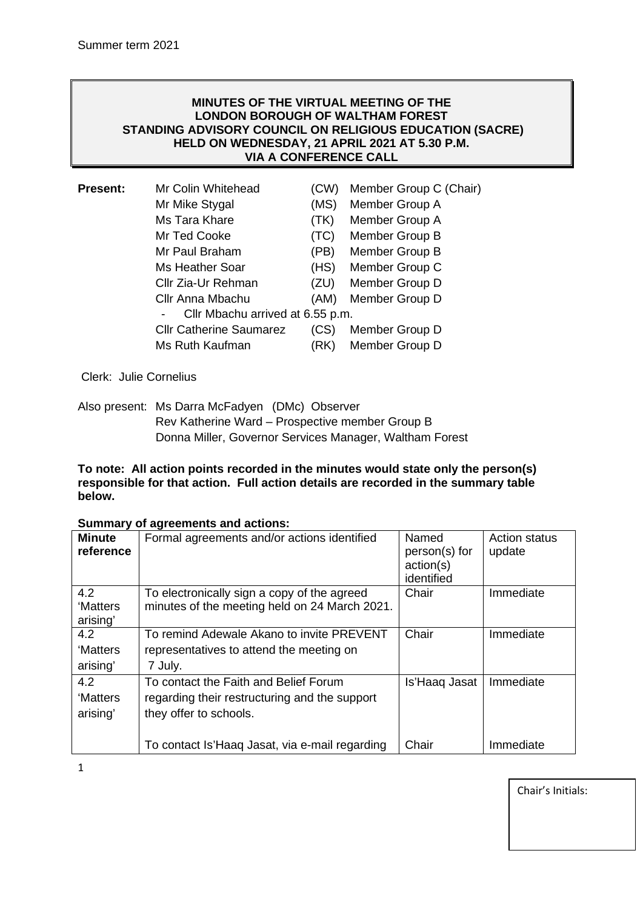### **MINUTES OF THE VIRTUAL MEETING OF THE LONDON BOROUGH OF WALTHAM FOREST STANDING ADVISORY COUNCIL ON RELIGIOUS EDUCATION (SACRE) HELD ON WEDNESDAY, 21 APRIL 2021 AT 5.30 P.M. VIA A CONFERENCE CALL**

| <b>Present:</b> | Mr Colin Whitehead               | (CW) | Member Group C (Chair) |  |  |
|-----------------|----------------------------------|------|------------------------|--|--|
|                 | Mr Mike Stygal                   | (MS) | Member Group A         |  |  |
|                 | Ms Tara Khare                    | (TK) | Member Group A         |  |  |
|                 | Mr Ted Cooke                     | (TC) | Member Group B         |  |  |
|                 | Mr Paul Braham                   | (PB) | Member Group B         |  |  |
|                 | Ms Heather Soar                  | (HS) | Member Group C         |  |  |
|                 | Cllr Zia-Ur Rehman               | (ZU) | Member Group D         |  |  |
|                 | Cllr Anna Mbachu                 | (AM) | Member Group D         |  |  |
|                 | Cllr Mbachu arrived at 6.55 p.m. |      |                        |  |  |
|                 | <b>Cllr Catherine Saumarez</b>   | (CS) | Member Group D         |  |  |
|                 | Ms Ruth Kaufman                  | (RK) | Member Group D         |  |  |
|                 |                                  |      |                        |  |  |

Clerk: Julie Cornelius

Also present: Ms Darra McFadyen (DMc) Observer Rev Katherine Ward – Prospective member Group B Donna Miller, Governor Services Manager, Waltham Forest

**To note: All action points recorded in the minutes would state only the person(s) responsible for that action. Full action details are recorded in the summary table below.**

|  |  | <b>Summary of agreements and actions:</b> |  |
|--|--|-------------------------------------------|--|
|--|--|-------------------------------------------|--|

| <b>Minute</b><br>reference  | Formal agreements and/or actions identified                                                                      | Named<br>person(s) for<br>action(s)<br>identified | <b>Action status</b><br>update |
|-----------------------------|------------------------------------------------------------------------------------------------------------------|---------------------------------------------------|--------------------------------|
| 4.2<br>'Matters<br>arising' | To electronically sign a copy of the agreed<br>minutes of the meeting held on 24 March 2021.                     | Chair                                             | Immediate                      |
| 4.2                         | To remind Adewale Akano to invite PREVENT                                                                        | Chair                                             | Immediate                      |
| 'Matters                    | representatives to attend the meeting on                                                                         |                                                   |                                |
| arising'                    | 7 July.                                                                                                          |                                                   |                                |
| 4.2<br>'Matters<br>arising' | To contact the Faith and Belief Forum<br>regarding their restructuring and the support<br>they offer to schools. | Is'Haag Jasat                                     | Immediate                      |
|                             | To contact Is'Haaq Jasat, via e-mail regarding                                                                   | Chair                                             | Immediate                      |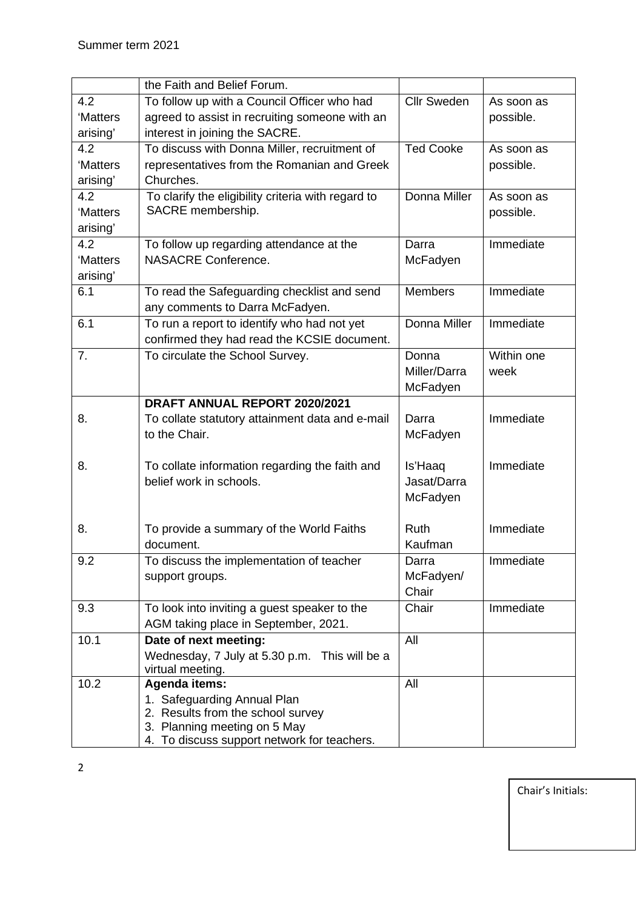|          | the Faith and Belief Forum.                         |                    |            |
|----------|-----------------------------------------------------|--------------------|------------|
| 4.2      | To follow up with a Council Officer who had         | <b>Cllr Sweden</b> | As soon as |
| 'Matters | agreed to assist in recruiting someone with an      |                    | possible.  |
| arising' | interest in joining the SACRE.                      |                    |            |
| 4.2      | To discuss with Donna Miller, recruitment of        | <b>Ted Cooke</b>   | As soon as |
| 'Matters | representatives from the Romanian and Greek         |                    | possible.  |
| arising' | Churches.                                           |                    |            |
| 4.2      | To clarify the eligibility criteria with regard to  | Donna Miller       | As soon as |
| 'Matters | SACRE membership.                                   |                    | possible.  |
| arising' |                                                     |                    |            |
| 4.2      | To follow up regarding attendance at the            | Darra              | Immediate  |
| 'Matters | <b>NASACRE Conference.</b>                          | McFadyen           |            |
| arising' |                                                     |                    |            |
| 6.1      | To read the Safeguarding checklist and send         | <b>Members</b>     | Immediate  |
|          | any comments to Darra McFadyen.                     |                    |            |
| 6.1      | To run a report to identify who had not yet         | Donna Miller       | Immediate  |
|          | confirmed they had read the KCSIE document.         |                    |            |
| 7.       | To circulate the School Survey.                     | Donna              | Within one |
|          |                                                     | Miller/Darra       | week       |
|          |                                                     | McFadyen           |            |
|          | DRAFT ANNUAL REPORT 2020/2021                       |                    |            |
| 8.       | To collate statutory attainment data and e-mail     | Darra              | Immediate  |
|          | to the Chair.                                       | McFadyen           |            |
|          |                                                     |                    |            |
| 8.       | To collate information regarding the faith and      | Is'Haaq            | Immediate  |
|          | belief work in schools.                             | Jasat/Darra        |            |
|          |                                                     | McFadyen           |            |
|          |                                                     |                    |            |
| 8.       | To provide a summary of the World Faiths            | Ruth               | Immediate  |
|          | document.                                           | Kaufman            |            |
| 9.2      | To discuss the implementation of teacher            | Darra              | Immediate  |
|          | support groups.                                     | McFadyen/          |            |
|          |                                                     | Chair              |            |
| 9.3      | To look into inviting a guest speaker to the        | Chair              | Immediate  |
|          | AGM taking place in September, 2021.                |                    |            |
| 10.1     | Date of next meeting:                               | All                |            |
|          | Wednesday, 7 July at 5.30 p.m. This will be a       |                    |            |
| 10.2     | virtual meeting.                                    | All                |            |
|          | <b>Agenda items:</b><br>1. Safeguarding Annual Plan |                    |            |
|          | 2. Results from the school survey                   |                    |            |
|          | 3. Planning meeting on 5 May                        |                    |            |
|          | 4. To discuss support network for teachers.         |                    |            |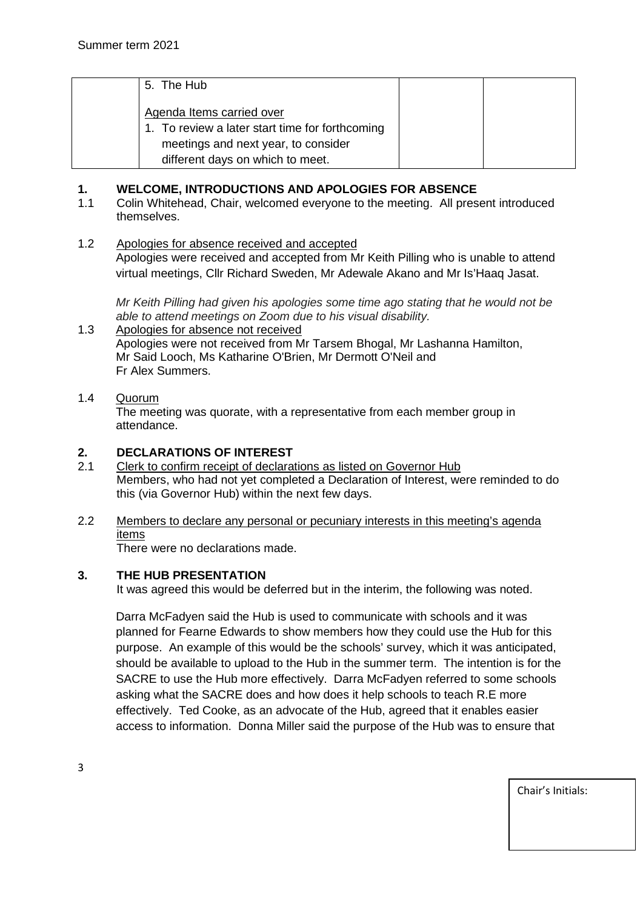| 5. The Hub                                      |  |
|-------------------------------------------------|--|
| Agenda Items carried over                       |  |
| 1. To review a later start time for forthcoming |  |
| meetings and next year, to consider             |  |
| different days on which to meet.                |  |

## **1. WELCOME, INTRODUCTIONS AND APOLOGIES FOR ABSENCE**

- 1.1 Colin Whitehead, Chair, welcomed everyone to the meeting. All present introduced themselves.
- 1.2 Apologies for absence received and accepted Apologies were received and accepted from Mr Keith Pilling who is unable to attend virtual meetings, Cllr Richard Sweden, Mr Adewale Akano and Mr Is'Haaq Jasat.

*Mr Keith Pilling had given his apologies some time ago stating that he would not be able to attend meetings on Zoom due to his visual disability.*

1.3 Apologies for absence not received Apologies were not received from Mr Tarsem Bhogal, Mr Lashanna Hamilton, Mr Said Looch, Ms Katharine O'Brien, Mr Dermott O'Neil and Fr Alex Summers.

## 1.4 Quorum

The meeting was quorate, with a representative from each member group in attendance.

## **2. DECLARATIONS OF INTEREST**

- 2.1 Clerk to confirm receipt of declarations as listed on Governor Hub Members, who had not yet completed a Declaration of Interest, were reminded to do this (via Governor Hub) within the next few days.
- 2.2 Members to declare any personal or pecuniary interests in this meeting's agenda items

There were no declarations made.

### **3. THE HUB PRESENTATION**

It was agreed this would be deferred but in the interim, the following was noted.

Darra McFadyen said the Hub is used to communicate with schools and it was planned for Fearne Edwards to show members how they could use the Hub for this purpose. An example of this would be the schools' survey, which it was anticipated, should be available to upload to the Hub in the summer term. The intention is for the SACRE to use the Hub more effectively. Darra McFadyen referred to some schools asking what the SACRE does and how does it help schools to teach R.E more effectively. Ted Cooke, as an advocate of the Hub, agreed that it enables easier access to information. Donna Miller said the purpose of the Hub was to ensure that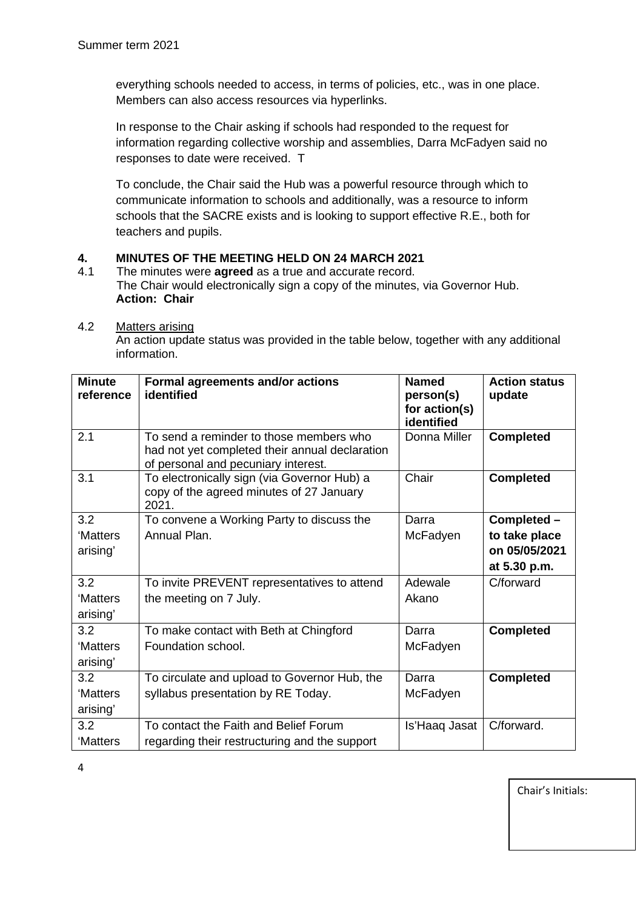everything schools needed to access, in terms of policies, etc., was in one place. Members can also access resources via hyperlinks.

In response to the Chair asking if schools had responded to the request for information regarding collective worship and assemblies, Darra McFadyen said no responses to date were received. T

To conclude, the Chair said the Hub was a powerful resource through which to communicate information to schools and additionally, was a resource to inform schools that the SACRE exists and is looking to support effective R.E., both for teachers and pupils.

## **4. MINUTES OF THE MEETING HELD ON 24 MARCH 2021**

- 4.1 The minutes were **agreed** as a true and accurate record. The Chair would electronically sign a copy of the minutes, via Governor Hub. **Action: Chair**
- 4.2 Matters arising

An action update status was provided in the table below, together with any additional information.

| <b>Minute</b><br>reference | Formal agreements and/or actions<br>identified                                                                                   | <b>Named</b><br>person(s)<br>for action(s)<br>identified | <b>Action status</b><br>update |
|----------------------------|----------------------------------------------------------------------------------------------------------------------------------|----------------------------------------------------------|--------------------------------|
| 2.1                        | To send a reminder to those members who<br>had not yet completed their annual declaration<br>of personal and pecuniary interest. | Donna Miller                                             | <b>Completed</b>               |
| 3.1                        | To electronically sign (via Governor Hub) a<br>copy of the agreed minutes of 27 January<br>2021.                                 | Chair                                                    | <b>Completed</b>               |
| 3.2                        | To convene a Working Party to discuss the                                                                                        | Darra                                                    | Completed -                    |
| 'Matters                   | Annual Plan.                                                                                                                     | McFadyen                                                 | to take place                  |
| arising'                   |                                                                                                                                  |                                                          | on 05/05/2021                  |
|                            |                                                                                                                                  |                                                          | at 5.30 p.m.                   |
| 3.2                        | To invite PREVENT representatives to attend                                                                                      | Adewale                                                  | C/forward                      |
| 'Matters<br>arising'       | the meeting on 7 July.                                                                                                           | Akano                                                    |                                |
| 3.2                        | To make contact with Beth at Chingford                                                                                           | Darra                                                    | <b>Completed</b>               |
| 'Matters<br>arising'       | Foundation school.                                                                                                               | McFadyen                                                 |                                |
| 3.2                        | To circulate and upload to Governor Hub, the                                                                                     | Darra                                                    | <b>Completed</b>               |
| 'Matters                   | syllabus presentation by RE Today.                                                                                               | McFadyen                                                 |                                |
| arising'                   |                                                                                                                                  |                                                          |                                |
| 3.2                        | To contact the Faith and Belief Forum                                                                                            | Is'Haaq Jasat                                            | C/forward.                     |
| 'Matters                   | regarding their restructuring and the support                                                                                    |                                                          |                                |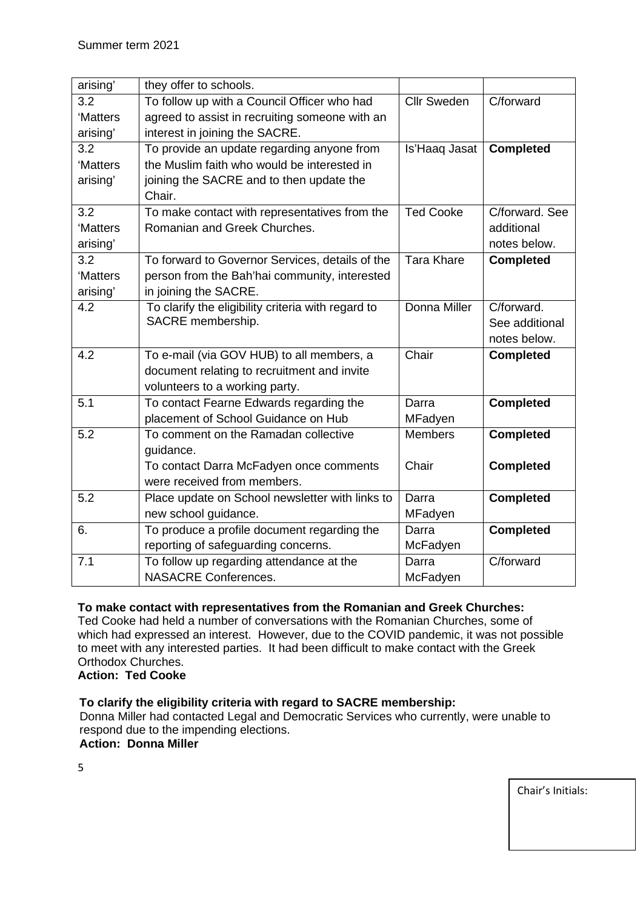| arising'         | they offer to schools.                             |                    |                  |
|------------------|----------------------------------------------------|--------------------|------------------|
| 3.2              | To follow up with a Council Officer who had        | <b>Cllr Sweden</b> | C/forward        |
| 'Matters         | agreed to assist in recruiting someone with an     |                    |                  |
| arising'         | interest in joining the SACRE.                     |                    |                  |
| 3.2              | To provide an update regarding anyone from         | Is'Haaq Jasat      | <b>Completed</b> |
| 'Matters         | the Muslim faith who would be interested in        |                    |                  |
| arising'         | joining the SACRE and to then update the           |                    |                  |
|                  | Chair.                                             |                    |                  |
| 3.2              | To make contact with representatives from the      | <b>Ted Cooke</b>   | C/forward, See   |
| 'Matters         | Romanian and Greek Churches.                       |                    | additional       |
| arising'         |                                                    |                    | notes below.     |
| 3.2              | To forward to Governor Services, details of the    | <b>Tara Khare</b>  | <b>Completed</b> |
| 'Matters         | person from the Bah'hai community, interested      |                    |                  |
| arising'         | in joining the SACRE.                              |                    |                  |
| 4.2              | To clarify the eligibility criteria with regard to | Donna Miller       | C/forward.       |
|                  | SACRE membership.                                  |                    | See additional   |
|                  |                                                    |                    | notes below.     |
| 4.2              | To e-mail (via GOV HUB) to all members, a          | Chair              | <b>Completed</b> |
|                  | document relating to recruitment and invite        |                    |                  |
|                  | volunteers to a working party.                     |                    |                  |
| 5.1              | To contact Fearne Edwards regarding the            | Darra              | <b>Completed</b> |
|                  | placement of School Guidance on Hub                | MFadyen            |                  |
| $\overline{5.2}$ | To comment on the Ramadan collective               | <b>Members</b>     | <b>Completed</b> |
|                  | guidance.                                          |                    |                  |
|                  | To contact Darra McFadyen once comments            | Chair              | <b>Completed</b> |
|                  | were received from members.                        |                    |                  |
| 5.2              | Place update on School newsletter with links to    | Darra              | <b>Completed</b> |
|                  | new school guidance.                               | MFadyen            |                  |
| 6.               | To produce a profile document regarding the        | Darra              | <b>Completed</b> |
|                  | reporting of safeguarding concerns.                | McFadyen           |                  |
| 7.1              | To follow up regarding attendance at the           | Darra              | C/forward        |
|                  | <b>NASACRE Conferences.</b>                        | McFadyen           |                  |

## **To make contact with representatives from the Romanian and Greek Churches:**

Ted Cooke had held a number of conversations with the Romanian Churches, some of which had expressed an interest. However, due to the COVID pandemic, it was not possible to meet with any interested parties. It had been difficult to make contact with the Greek Orthodox Churches.

### **Action: Ted Cooke**

### **To clarify the eligibility criteria with regard to SACRE membership:**

Donna Miller had contacted Legal and Democratic Services who currently, were unable to respond due to the impending elections.

## **Action: Donna Miller**

5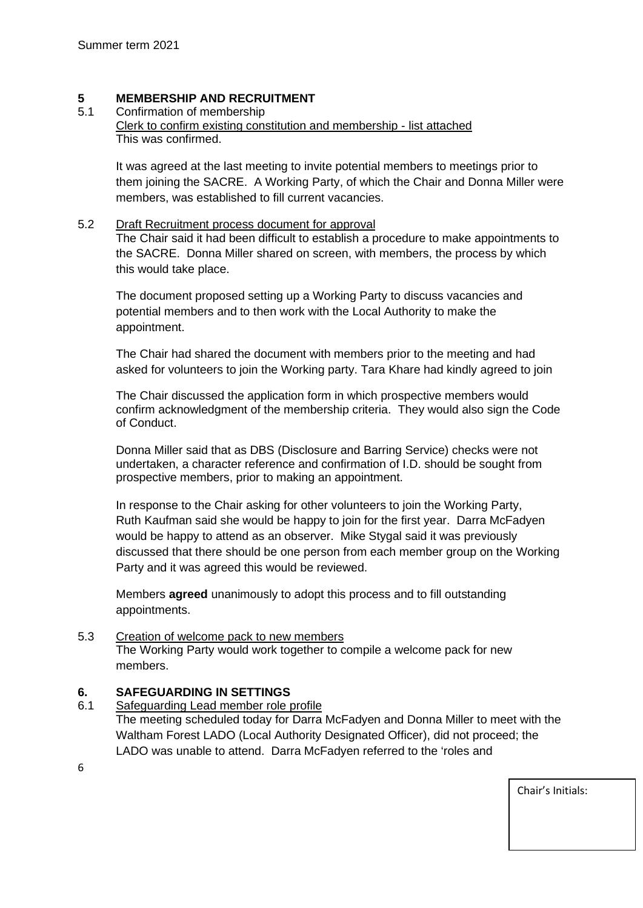## **5 MEMBERSHIP AND RECRUITMENT**<br>5.1 Confirmation of membership

### Confirmation of membership

Clerk to confirm existing constitution and membership - list attached This was confirmed.

It was agreed at the last meeting to invite potential members to meetings prior to them joining the SACRE. A Working Party, of which the Chair and Donna Miller were members, was established to fill current vacancies.

## 5.2 Draft Recruitment process document for approval

The Chair said it had been difficult to establish a procedure to make appointments to the SACRE. Donna Miller shared on screen, with members, the process by which this would take place.

The document proposed setting up a Working Party to discuss vacancies and potential members and to then work with the Local Authority to make the appointment.

The Chair had shared the document with members prior to the meeting and had asked for volunteers to join the Working party. Tara Khare had kindly agreed to join

The Chair discussed the application form in which prospective members would confirm acknowledgment of the membership criteria. They would also sign the Code of Conduct.

Donna Miller said that as DBS (Disclosure and Barring Service) checks were not undertaken, a character reference and confirmation of I.D. should be sought from prospective members, prior to making an appointment.

In response to the Chair asking for other volunteers to join the Working Party, Ruth Kaufman said she would be happy to join for the first year. Darra McFadyen would be happy to attend as an observer. Mike Stygal said it was previously discussed that there should be one person from each member group on the Working Party and it was agreed this would be reviewed.

Members **agreed** unanimously to adopt this process and to fill outstanding appointments.

## 5.3 Creation of welcome pack to new members

The Working Party would work together to compile a welcome pack for new members.

## **6. SAFEGUARDING IN SETTINGS**

Safeguarding Lead member role profile

The meeting scheduled today for Darra McFadyen and Donna Miller to meet with the Waltham Forest LADO (Local Authority Designated Officer), did not proceed; the LADO was unable to attend. Darra McFadyen referred to the 'roles and

6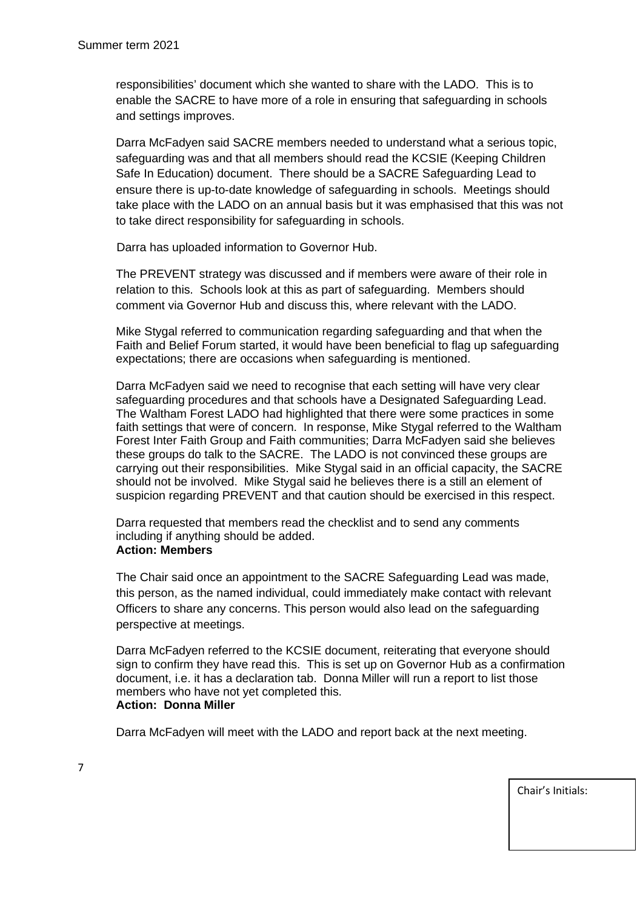responsibilities' document which she wanted to share with the LADO. This is to enable the SACRE to have more of a role in ensuring that safeguarding in schools and settings improves.

Darra McFadyen said SACRE members needed to understand what a serious topic, safeguarding was and that all members should read the KCSIE (Keeping Children Safe In Education) document. There should be a SACRE Safeguarding Lead to ensure there is up-to-date knowledge of safeguarding in schools. Meetings should take place with the LADO on an annual basis but it was emphasised that this was not to take direct responsibility for safeguarding in schools.

Darra has uploaded information to Governor Hub.

The PREVENT strategy was discussed and if members were aware of their role in relation to this. Schools look at this as part of safeguarding. Members should comment via Governor Hub and discuss this, where relevant with the LADO.

Mike Stygal referred to communication regarding safeguarding and that when the Faith and Belief Forum started, it would have been beneficial to flag up safeguarding expectations; there are occasions when safeguarding is mentioned.

Darra McFadyen said we need to recognise that each setting will have very clear safeguarding procedures and that schools have a Designated Safeguarding Lead. The Waltham Forest LADO had highlighted that there were some practices in some faith settings that were of concern. In response, Mike Stygal referred to the Waltham Forest Inter Faith Group and Faith communities; Darra McFadyen said she believes these groups do talk to the SACRE. The LADO is not convinced these groups are carrying out their responsibilities. Mike Stygal said in an official capacity, the SACRE should not be involved. Mike Stygal said he believes there is a still an element of suspicion regarding PREVENT and that caution should be exercised in this respect.

Darra requested that members read the checklist and to send any comments including if anything should be added. **Action: Members**

The Chair said once an appointment to the SACRE Safeguarding Lead was made, this person, as the named individual, could immediately make contact with relevant Officers to share any concerns. This person would also lead on the safeguarding perspective at meetings.

Darra McFadyen referred to the KCSIE document, reiterating that everyone should sign to confirm they have read this. This is set up on Governor Hub as a confirmation document, i.e. it has a declaration tab. Donna Miller will run a report to list those members who have not yet completed this. **Action: Donna Miller**

Darra McFadyen will meet with the LADO and report back at the next meeting.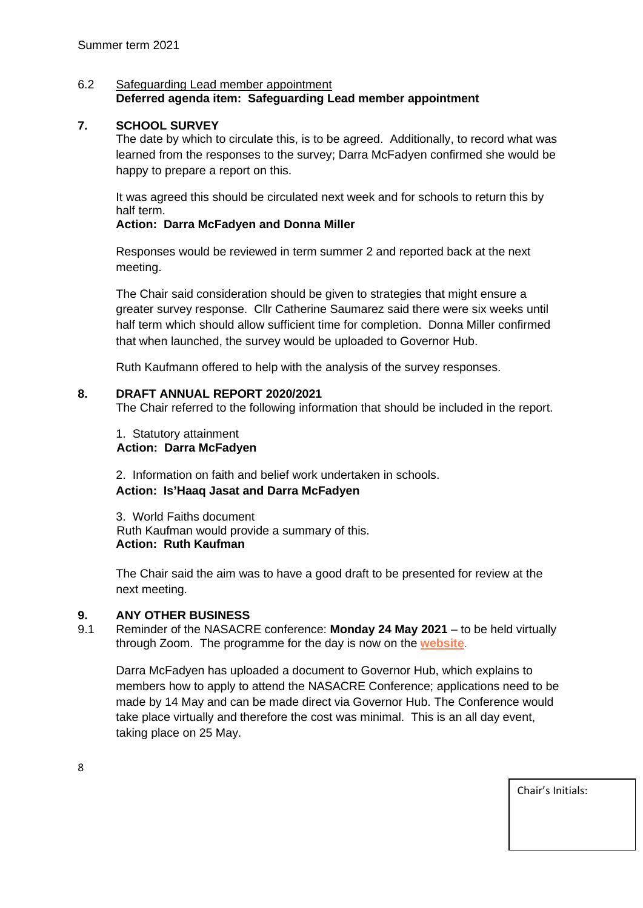### 6.2 Safeguarding Lead member appointment **Deferred agenda item: Safeguarding Lead member appointment**

## **7. SCHOOL SURVEY**

The date by which to circulate this, is to be agreed. Additionally, to record what was learned from the responses to the survey; Darra McFadyen confirmed she would be happy to prepare a report on this.

It was agreed this should be circulated next week and for schools to return this by half term.

## **Action: Darra McFadyen and Donna Miller**

Responses would be reviewed in term summer 2 and reported back at the next meeting.

The Chair said consideration should be given to strategies that might ensure a greater survey response. Cllr Catherine Saumarez said there were six weeks until half term which should allow sufficient time for completion. Donna Miller confirmed that when launched, the survey would be uploaded to Governor Hub.

Ruth Kaufmann offered to help with the analysis of the survey responses.

## **8. DRAFT ANNUAL REPORT 2020/2021**

The Chair referred to the following information that should be included in the report.

1. Statutory attainment **Action: Darra McFadyen**

2. Information on faith and belief work undertaken in schools. **Action: Is'Haaq Jasat and Darra McFadyen**

3. World Faiths document Ruth Kaufman would provide a summary of this. **Action: Ruth Kaufman**

The Chair said the aim was to have a good draft to be presented for review at the next meeting.

## **9. ANY OTHER BUSINESS**

9.1 Reminder of the NASACRE conference: **Monday 24 May 2021** – to be held virtually through Zoom. The programme for the day is now on the **[website](https://protect-eu.mimecast.com/s/8y6_CZ819FP3zlnIZxO0C?domain=nasacre.us6.list-manage.com)**.

Darra McFadyen has uploaded a document to Governor Hub, which explains to members how to apply to attend the NASACRE Conference; applications need to be made by 14 May and can be made direct via Governor Hub. The Conference would take place virtually and therefore the cost was minimal. This is an all day event, taking place on 25 May.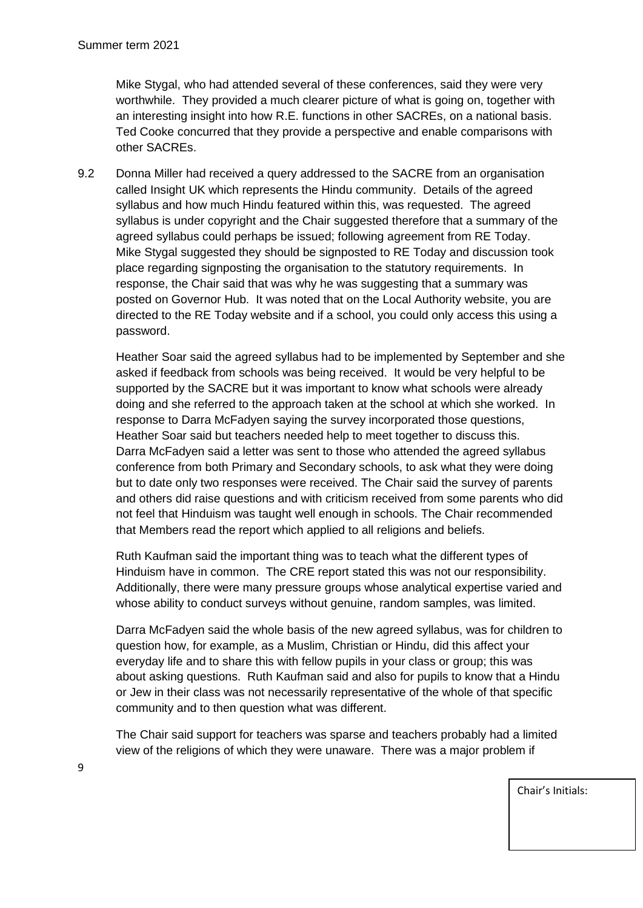Mike Stygal, who had attended several of these conferences, said they were very worthwhile. They provided a much clearer picture of what is going on, together with an interesting insight into how R.E. functions in other SACREs, on a national basis. Ted Cooke concurred that they provide a perspective and enable comparisons with other SACREs.

9.2 Donna Miller had received a query addressed to the SACRE from an organisation called Insight UK which represents the Hindu community. Details of the agreed syllabus and how much Hindu featured within this, was requested. The agreed syllabus is under copyright and the Chair suggested therefore that a summary of the agreed syllabus could perhaps be issued; following agreement from RE Today. Mike Stygal suggested they should be signposted to RE Today and discussion took place regarding signposting the organisation to the statutory requirements. In response, the Chair said that was why he was suggesting that a summary was posted on Governor Hub. It was noted that on the Local Authority website, you are directed to the RE Today website and if a school, you could only access this using a password.

Heather Soar said the agreed syllabus had to be implemented by September and she asked if feedback from schools was being received. It would be very helpful to be supported by the SACRE but it was important to know what schools were already doing and she referred to the approach taken at the school at which she worked. In response to Darra McFadyen saying the survey incorporated those questions, Heather Soar said but teachers needed help to meet together to discuss this. Darra McFadyen said a letter was sent to those who attended the agreed syllabus conference from both Primary and Secondary schools, to ask what they were doing but to date only two responses were received. The Chair said the survey of parents and others did raise questions and with criticism received from some parents who did not feel that Hinduism was taught well enough in schools. The Chair recommended that Members read the report which applied to all religions and beliefs.

Ruth Kaufman said the important thing was to teach what the different types of Hinduism have in common. The CRE report stated this was not our responsibility. Additionally, there were many pressure groups whose analytical expertise varied and whose ability to conduct surveys without genuine, random samples, was limited.

Darra McFadyen said the whole basis of the new agreed syllabus, was for children to question how, for example, as a Muslim, Christian or Hindu, did this affect your everyday life and to share this with fellow pupils in your class or group; this was about asking questions. Ruth Kaufman said and also for pupils to know that a Hindu or Jew in their class was not necessarily representative of the whole of that specific community and to then question what was different.

The Chair said support for teachers was sparse and teachers probably had a limited view of the religions of which they were unaware. There was a major problem if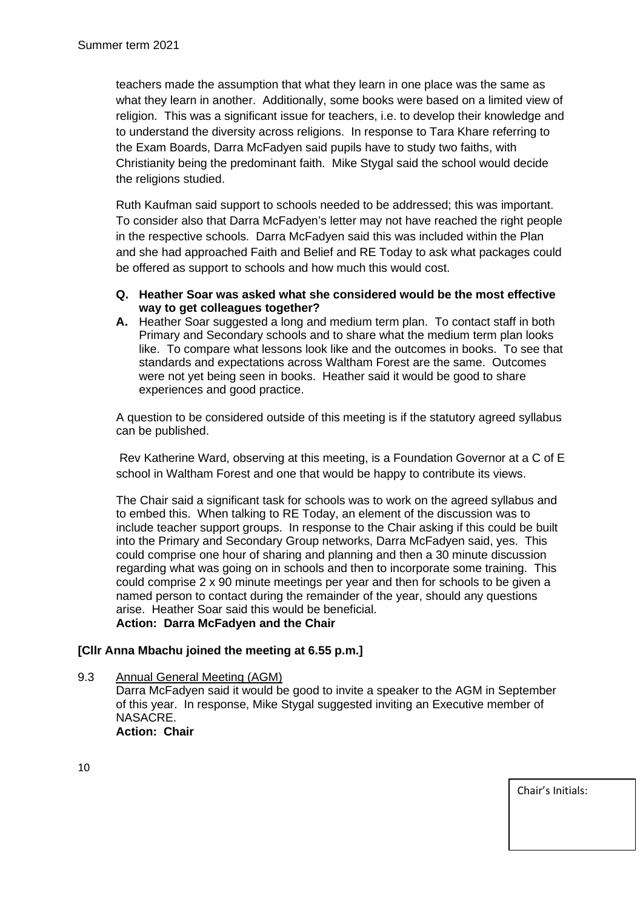teachers made the assumption that what they learn in one place was the same as what they learn in another. Additionally, some books were based on a limited view of religion. This was a significant issue for teachers, i.e. to develop their knowledge and to understand the diversity across religions. In response to Tara Khare referring to the Exam Boards, Darra McFadyen said pupils have to study two faiths, with Christianity being the predominant faith. Mike Stygal said the school would decide the religions studied.

Ruth Kaufman said support to schools needed to be addressed; this was important. To consider also that Darra McFadyen's letter may not have reached the right people in the respective schools. Darra McFadyen said this was included within the Plan and she had approached Faith and Belief and RE Today to ask what packages could be offered as support to schools and how much this would cost.

- **Q. Heather Soar was asked what she considered would be the most effective way to get colleagues together?**
- **A.** Heather Soar suggested a long and medium term plan. To contact staff in both Primary and Secondary schools and to share what the medium term plan looks like. To compare what lessons look like and the outcomes in books. To see that standards and expectations across Waltham Forest are the same. Outcomes were not yet being seen in books. Heather said it would be good to share experiences and good practice.

A question to be considered outside of this meeting is if the statutory agreed syllabus can be published.

Rev Katherine Ward, observing at this meeting, is a Foundation Governor at a C of E school in Waltham Forest and one that would be happy to contribute its views.

The Chair said a significant task for schools was to work on the agreed syllabus and to embed this. When talking to RE Today, an element of the discussion was to include teacher support groups. In response to the Chair asking if this could be built into the Primary and Secondary Group networks, Darra McFadyen said, yes. This could comprise one hour of sharing and planning and then a 30 minute discussion regarding what was going on in schools and then to incorporate some training. This could comprise 2 x 90 minute meetings per year and then for schools to be given a named person to contact during the remainder of the year, should any questions arise. Heather Soar said this would be beneficial. **Action: Darra McFadyen and the Chair**

### **[Cllr Anna Mbachu joined the meeting at 6.55 p.m.]**

9.3 Annual General Meeting (AGM)

Darra McFadyen said it would be good to invite a speaker to the AGM in September of this year. In response, Mike Stygal suggested inviting an Executive member of NASACRE. **Action: Chair**